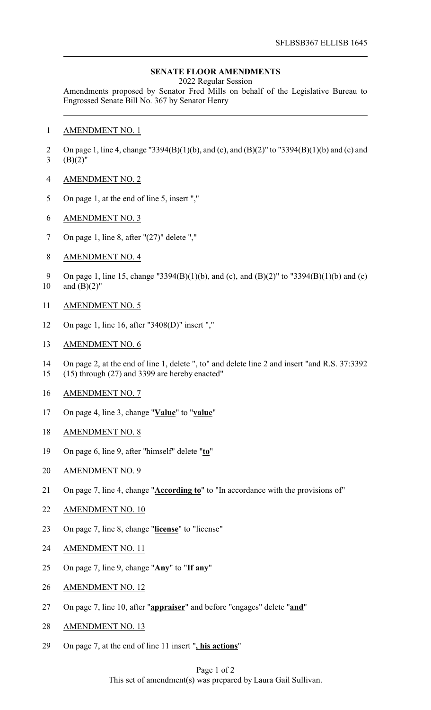## **SENATE FLOOR AMENDMENTS**

2022 Regular Session

Amendments proposed by Senator Fred Mills on behalf of the Legislative Bureau to Engrossed Senate Bill No. 367 by Senator Henry

- AMENDMENT NO. 1
- On page 1, line 4, change "3394(B)(1)(b), and (c), and (B)(2)" to "3394(B)(1)(b) and (c) and 3  $(B)(2)$ "
- AMENDMENT NO. 2
- On page 1, at the end of line 5, insert ","
- AMENDMENT NO. 3
- 7 On page 1, line 8, after "(27)" delete ","
- AMENDMENT NO. 4
- On page 1, line 15, change "3394(B)(1)(b), and (c), and (B)(2)" to "3394(B)(1)(b) and (c) 10 and  $(B)(2)$ "
- AMENDMENT NO. 5
- On page 1, line 16, after "3408(D)" insert ","
- AMENDMENT NO. 6
- On page 2, at the end of line 1, delete ", to" and delete line 2 and insert "and R.S. 37:3392
- (15) through (27) and 3399 are hereby enacted"
- AMENDMENT NO. 7
- On page 4, line 3, change "**Value**" to "**value**"
- AMENDMENT NO. 8
- On page 6, line 9, after "himself" delete "**to**"
- AMENDMENT NO. 9
- On page 7, line 4, change "**According to**" to "In accordance with the provisions of"
- AMENDMENT NO. 10
- On page 7, line 8, change "**license**" to "license"
- AMENDMENT NO. 11
- On page 7, line 9, change "**Any**" to "**If any**"
- AMENDMENT NO. 12
- On page 7, line 10, after "**appraiser**" and before "engages" delete "**and**"
- AMENDMENT NO. 13
- On page 7, at the end of line 11 insert "**, his actions**"

## Page 1 of 2 This set of amendment(s) was prepared by Laura Gail Sullivan.